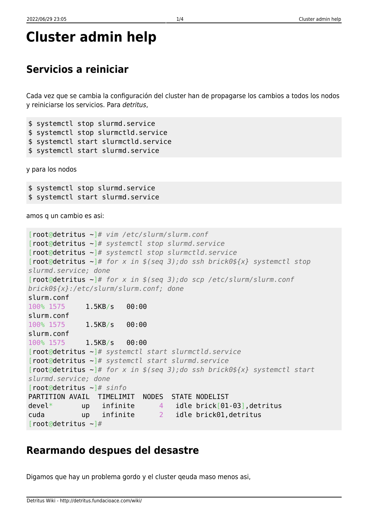## **Cluster admin help**

## **Servicios a reiniciar**

Cada vez que se cambia la configuración del cluster han de propagarse los cambios a todos los nodos y reiniciarse los servicios. Para detritus,

```
$ systemctl stop slurmd.service
$ systemctl stop slurmctld.service
$ systemctl start slurmctld.service
$ systemctl start slurmd.service
```
y para los nodos

\$ systemctl stop slurmd.service \$ systemctl start slurmd.service

amos q un cambio es asi:

```
[root@detritus ~]# vim /etc/slurm/slurm.conf
[root@detritus ~]# systemctl stop slurmd.service
[root@detritus ~]# systemctl stop slurmctld.service
[root@detritus ~]# for x in $(seq 3);do ssh brick0${x} systemctl stop
slurmd.service; done
[root@detritus ~]# for x in $(seq 3);do scp /etc/slurm/slurm.conf
brick0${x}:/etc/slurm/slurm.conf; done
slurm.conf
100% 1575 1.5KB/s 00:00
slurm.conf
100% 1575 1.5KB/s 00:00
slurm.conf
100% 1575 1.5KB/s 00:00
[root@detritus ~]# systemctl start slurmctld.service
[root@detritus ~]# systemctl start slurmd.service
[root@detritus ~]# for x in $(seq 3);do ssh brick0${x} systemctl start
slurmd.service; done
[root@detritus ~]# sinfo
PARTITION AVAIL TIMELIMIT NODES STATE NODELIST
devel* up infinite 4 idle brick[01-03],detritus
cuda up infinite 2 idle brick01,detritus
[root@detritus ~]#
```
## **Rearmando despues del desastre**

Digamos que hay un problema gordo y el cluster qeuda maso menos asi,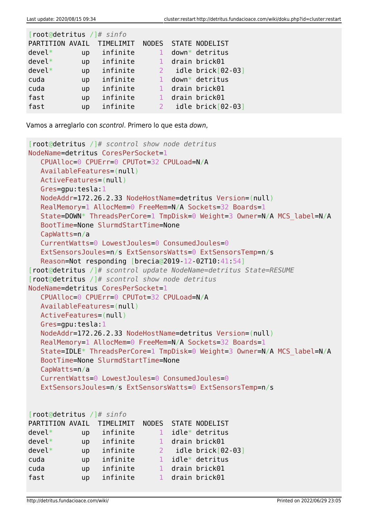| root@detritus /]# sinfo |          |                           |  |                                                |  |  |  |  |  |
|-------------------------|----------|---------------------------|--|------------------------------------------------|--|--|--|--|--|
|                         |          |                           |  |                                                |  |  |  |  |  |
| up                      | infinite | 1                         |  | $down*$ detritus                               |  |  |  |  |  |
| up                      | infinite |                           |  | drain brick01                                  |  |  |  |  |  |
| up                      | infinite |                           |  | idle brick[02-03]                              |  |  |  |  |  |
| up                      | infinite |                           |  | $down*$ detritus                               |  |  |  |  |  |
| up                      | infinite |                           |  | drain brick01                                  |  |  |  |  |  |
| up                      | infinite |                           |  | drain brick01                                  |  |  |  |  |  |
| up                      | infinite |                           |  | $idle \; brick[02-03]$                         |  |  |  |  |  |
|                         |          | PARTITION AVAIL TIMELIMIT |  | NODES STATE NODELIST<br>$\sim$ 2<br>$\sqrt{2}$ |  |  |  |  |  |

Vamos a arreglarlo con scontrol. Primero lo que esta down,

```
[root@detritus /]# scontrol show node detritus
NodeName=detritus CoresPerSocket=1
   CPUAlloc=0 CPUErr=0 CPUTot=32 CPULoad=N/A
   AvailableFeatures=(null)
   ActiveFeatures=(null)
   Gres=gpu:tesla:1
   NodeAddr=172.26.2.33 NodeHostName=detritus Version=(null)
   RealMemory=1 AllocMem=0 FreeMem=N/A Sockets=32 Boards=1
   State=DOWN* ThreadsPerCore=1 TmpDisk=0 Weight=3 Owner=N/A MCS_label=N/A
   BootTime=None SlurmdStartTime=None
   CapWatts=n/a
   CurrentWatts=0 LowestJoules=0 ConsumedJoules=0
   ExtSensorsJoules=n/s ExtSensorsWatts=0 ExtSensorsTemp=n/s
   Reason=Not responding [brecia@2019-12-02T10:41:54]
[root@detritus /]# scontrol update NodeName=detritus State=RESUME
[root@detritus /]# scontrol show node detritus
NodeName=detritus CoresPerSocket=1
   CPUAlloc=0 CPUErr=0 CPUTot=32 CPULoad=N/A
   AvailableFeatures=(null)
   ActiveFeatures=(null)
   Gres=gpu:tesla:1
   NodeAddr=172.26.2.33 NodeHostName=detritus Version=(null)
   RealMemory=1 AllocMem=0 FreeMem=N/A Sockets=32 Boards=1
   State=IDLE* ThreadsPerCore=1 TmpDisk=0 Weight=3 Owner=N/A MCS_label=N/A
   BootTime=None SlurmdStartTime=None
   CapWatts=n/a
   CurrentWatts=0 LowestJoules=0 ConsumedJoules=0
   ExtSensorsJoules=n/s ExtSensorsWatts=0 ExtSensorsTemp=n/s
[root@detritus /]# sinfo
PARTITION AVAIL TIMELIMIT NODES STATE NODELIST
devel* up infinite 1 idle* detritus
devel* up infinite 1 drain brick01
devel* up infinite 2 idle brick[02-03]
cuda up infinite 1 idle* detritus
cuda up infinite 1 drain brick01
fast up infinite 1 drain brick01
```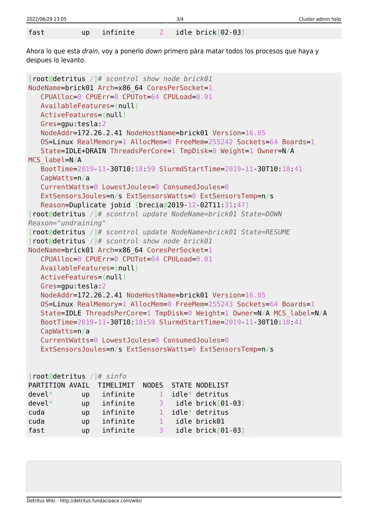| 2022/06/29 23:05 |           |          | 3/4                    | Cluster admin help |
|------------------|-----------|----------|------------------------|--------------------|
| fast             |           | infinite |                        |                    |
|                  | <b>up</b> |          | $idle \; brick[02-03]$ |                    |

Ahora lo que esta drain, voy a ponerlo down primero pàra matar todos los procesos que haya y despues lo levanto.

```
[root@detritus /]# scontrol show node brick01
NodeName=brick01 Arch=x86_64 CoresPerSocket=1
   CPUAlloc=0 CPUErr=0 CPUTot=64 CPULoad=0.01
   AvailableFeatures=(null)
   ActiveFeatures=(null)
   Gres=gpu:tesla:2
   NodeAddr=172.26.2.41 NodeHostName=brick01 Version=16.05
   OS=Linux RealMemory=1 AllocMem=0 FreeMem=255242 Sockets=64 Boards=1
   State=IDLE+DRAIN ThreadsPerCore=1 TmpDisk=0 Weight=1 Owner=N/A
MCS_label=N/A
   BootTime=2019-11-30T10:18:59 SlurmdStartTime=2019-11-30T10:18:41
   CapWatts=n/a
   CurrentWatts=0 LowestJoules=0 ConsumedJoules=0
   ExtSensorsJoules=n/s ExtSensorsWatts=0 ExtSensorsTemp=n/s
   Reason=Duplicate jobid [brecia@2019-12-02T11:31:47]
[root@detritus /]# scontrol update NodeName=brick01 State=DOWN
Reason="undraining"
[root@detritus /]# scontrol update NodeName=brick01 State=RESUME
[root@detritus /]# scontrol show node brick01
NodeName=brick01 Arch=x86_64 CoresPerSocket=1
   CPUAlloc=0 CPUErr=0 CPUTot=64 CPULoad=0.01
   AvailableFeatures=(null)
   ActiveFeatures=(null)
   Gres=gpu:tesla:2
   NodeAddr=172.26.2.41 NodeHostName=brick01 Version=16.05
   OS=Linux RealMemory=1 AllocMem=0 FreeMem=255243 Sockets=64 Boards=1
   State=IDLE ThreadsPerCore=1 TmpDisk=0 Weight=1 Owner=N/A MCS_label=N/A
   BootTime=2019-11-30T10:18:59 SlurmdStartTime=2019-11-30T10:18:41
   CapWatts=n/a
   CurrentWatts=0 LowestJoules=0 ConsumedJoules=0
   ExtSensorsJoules=n/s ExtSensorsWatts=0 ExtSensorsTemp=n/s
[root@detritus /]# sinfo
PARTITION AVAIL TIMELIMIT NODES STATE NODELIST
devel* up infinite 1 idle* detritus
devel* up infinite 3 idle brick[01-03]
cuda up infinite 1 idle* detritus
```
cuda up infinite 1 idle brick01

fast up infinite 3 idle brick[01-03]